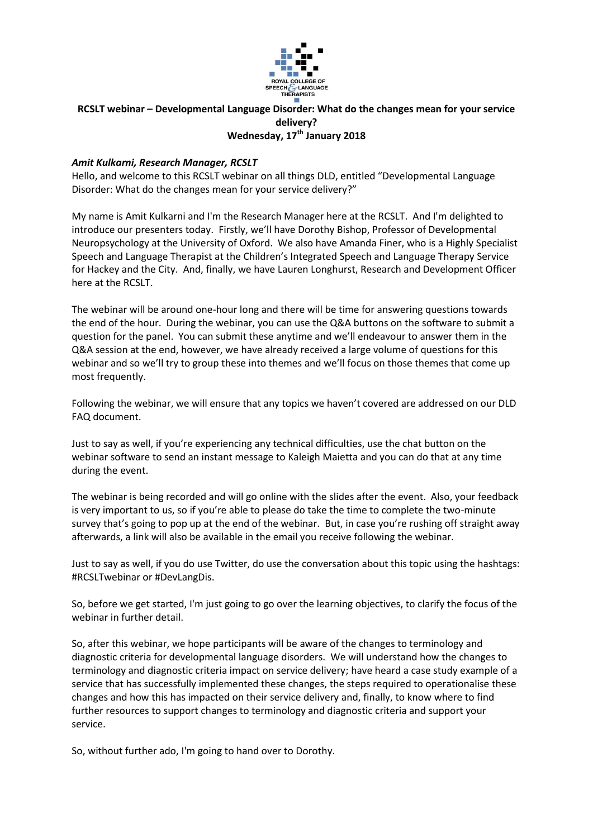

# **RCSLT webinar – Developmental Language Disorder: What do the changes mean for your service delivery? Wednesday, 17th January 2018**

# *Amit Kulkarni, Research Manager, RCSLT*

Hello, and welcome to this RCSLT webinar on all things DLD, entitled "Developmental Language Disorder: What do the changes mean for your service delivery?"

My name is Amit Kulkarni and I'm the Research Manager here at the RCSLT. And I'm delighted to introduce our presenters today. Firstly, we'll have Dorothy Bishop, Professor of Developmental Neuropsychology at the University of Oxford. We also have Amanda Finer, who is a Highly Specialist Speech and Language Therapist at the Children's Integrated Speech and Language Therapy Service for Hackey and the City. And, finally, we have Lauren Longhurst, Research and Development Officer here at the RCSLT.

The webinar will be around one-hour long and there will be time for answering questions towards the end of the hour. During the webinar, you can use the Q&A buttons on the software to submit a question for the panel. You can submit these anytime and we'll endeavour to answer them in the Q&A session at the end, however, we have already received a large volume of questions for this webinar and so we'll try to group these into themes and we'll focus on those themes that come up most frequently.

Following the webinar, we will ensure that any topics we haven't covered are addressed on our DLD FAQ document.

Just to say as well, if you're experiencing any technical difficulties, use the chat button on the webinar software to send an instant message to Kaleigh Maietta and you can do that at any time during the event.

The webinar is being recorded and will go online with the slides after the event. Also, your feedback is very important to us, so if you're able to please do take the time to complete the two-minute survey that's going to pop up at the end of the webinar. But, in case you're rushing off straight away afterwards, a link will also be available in the email you receive following the webinar.

Just to say as well, if you do use Twitter, do use the conversation about this topic using the hashtags: #RCSLTwebinar or #DevLangDis.

So, before we get started, I'm just going to go over the learning objectives, to clarify the focus of the webinar in further detail.

So, after this webinar, we hope participants will be aware of the changes to terminology and diagnostic criteria for developmental language disorders. We will understand how the changes to terminology and diagnostic criteria impact on service delivery; have heard a case study example of a service that has successfully implemented these changes, the steps required to operationalise these changes and how this has impacted on their service delivery and, finally, to know where to find further resources to support changes to terminology and diagnostic criteria and support your service.

So, without further ado, I'm going to hand over to Dorothy.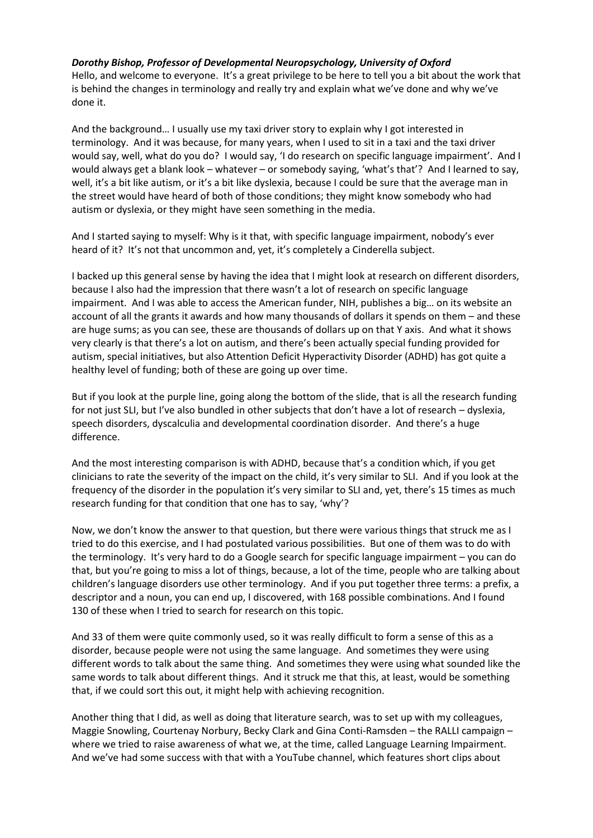# *Dorothy Bishop, Professor of Developmental Neuropsychology, University of Oxford*

Hello, and welcome to everyone. It's a great privilege to be here to tell you a bit about the work that is behind the changes in terminology and really try and explain what we've done and why we've done it.

And the background… I usually use my taxi driver story to explain why I got interested in terminology. And it was because, for many years, when I used to sit in a taxi and the taxi driver would say, well, what do you do? I would say, 'I do research on specific language impairment'. And I would always get a blank look – whatever – or somebody saying, 'what's that'? And I learned to say, well, it's a bit like autism, or it's a bit like dyslexia, because I could be sure that the average man in the street would have heard of both of those conditions; they might know somebody who had autism or dyslexia, or they might have seen something in the media.

And I started saying to myself: Why is it that, with specific language impairment, nobody's ever heard of it? It's not that uncommon and, yet, it's completely a Cinderella subject.

I backed up this general sense by having the idea that I might look at research on different disorders, because I also had the impression that there wasn't a lot of research on specific language impairment. And I was able to access the American funder, NIH, publishes a big… on its website an account of all the grants it awards and how many thousands of dollars it spends on them – and these are huge sums; as you can see, these are thousands of dollars up on that Y axis. And what it shows very clearly is that there's a lot on autism, and there's been actually special funding provided for autism, special initiatives, but also Attention Deficit Hyperactivity Disorder (ADHD) has got quite a healthy level of funding; both of these are going up over time.

But if you look at the purple line, going along the bottom of the slide, that is all the research funding for not just SLI, but I've also bundled in other subjects that don't have a lot of research – dyslexia, speech disorders, dyscalculia and developmental coordination disorder. And there's a huge difference.

And the most interesting comparison is with ADHD, because that's a condition which, if you get clinicians to rate the severity of the impact on the child, it's very similar to SLI. And if you look at the frequency of the disorder in the population it's very similar to SLI and, yet, there's 15 times as much research funding for that condition that one has to say, 'why'?

Now, we don't know the answer to that question, but there were various things that struck me as I tried to do this exercise, and I had postulated various possibilities. But one of them was to do with the terminology. It's very hard to do a Google search for specific language impairment – you can do that, but you're going to miss a lot of things, because, a lot of the time, people who are talking about children's language disorders use other terminology. And if you put together three terms: a prefix, a descriptor and a noun, you can end up, I discovered, with 168 possible combinations. And I found 130 of these when I tried to search for research on this topic.

And 33 of them were quite commonly used, so it was really difficult to form a sense of this as a disorder, because people were not using the same language. And sometimes they were using different words to talk about the same thing. And sometimes they were using what sounded like the same words to talk about different things. And it struck me that this, at least, would be something that, if we could sort this out, it might help with achieving recognition.

Another thing that I did, as well as doing that literature search, was to set up with my colleagues, Maggie Snowling, Courtenay Norbury, Becky Clark and Gina Conti-Ramsden – the RALLI campaign – where we tried to raise awareness of what we, at the time, called Language Learning Impairment. And we've had some success with that with a YouTube channel, which features short clips about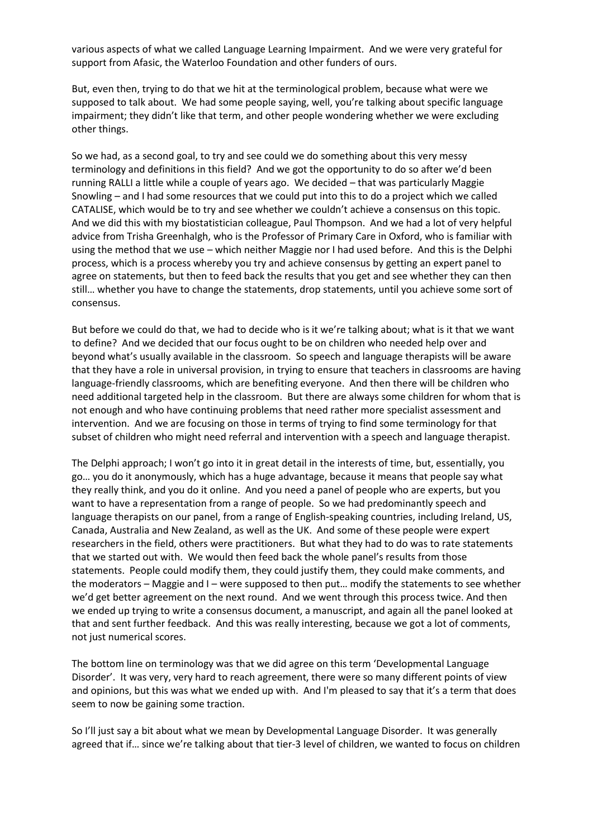various aspects of what we called Language Learning Impairment. And we were very grateful for support from Afasic, the Waterloo Foundation and other funders of ours.

But, even then, trying to do that we hit at the terminological problem, because what were we supposed to talk about. We had some people saying, well, you're talking about specific language impairment; they didn't like that term, and other people wondering whether we were excluding other things.

So we had, as a second goal, to try and see could we do something about this very messy terminology and definitions in this field? And we got the opportunity to do so after we'd been running RALLI a little while a couple of years ago. We decided – that was particularly Maggie Snowling – and I had some resources that we could put into this to do a project which we called CATALISE, which would be to try and see whether we couldn't achieve a consensus on this topic. And we did this with my biostatistician colleague, Paul Thompson. And we had a lot of very helpful advice from Trisha Greenhalgh, who is the Professor of Primary Care in Oxford, who is familiar with using the method that we use – which neither Maggie nor I had used before. And this is the Delphi process, which is a process whereby you try and achieve consensus by getting an expert panel to agree on statements, but then to feed back the results that you get and see whether they can then still… whether you have to change the statements, drop statements, until you achieve some sort of consensus.

But before we could do that, we had to decide who is it we're talking about; what is it that we want to define? And we decided that our focus ought to be on children who needed help over and beyond what's usually available in the classroom. So speech and language therapists will be aware that they have a role in universal provision, in trying to ensure that teachers in classrooms are having language-friendly classrooms, which are benefiting everyone. And then there will be children who need additional targeted help in the classroom. But there are always some children for whom that is not enough and who have continuing problems that need rather more specialist assessment and intervention. And we are focusing on those in terms of trying to find some terminology for that subset of children who might need referral and intervention with a speech and language therapist.

The Delphi approach; I won't go into it in great detail in the interests of time, but, essentially, you go… you do it anonymously, which has a huge advantage, because it means that people say what they really think, and you do it online. And you need a panel of people who are experts, but you want to have a representation from a range of people. So we had predominantly speech and language therapists on our panel, from a range of English-speaking countries, including Ireland, US, Canada, Australia and New Zealand, as well as the UK. And some of these people were expert researchers in the field, others were practitioners. But what they had to do was to rate statements that we started out with. We would then feed back the whole panel's results from those statements. People could modify them, they could justify them, they could make comments, and the moderators – Maggie and I – were supposed to then put… modify the statements to see whether we'd get better agreement on the next round. And we went through this process twice. And then we ended up trying to write a consensus document, a manuscript, and again all the panel looked at that and sent further feedback. And this was really interesting, because we got a lot of comments, not just numerical scores.

The bottom line on terminology was that we did agree on this term 'Developmental Language Disorder'. It was very, very hard to reach agreement, there were so many different points of view and opinions, but this was what we ended up with. And I'm pleased to say that it's a term that does seem to now be gaining some traction.

So I'll just say a bit about what we mean by Developmental Language Disorder. It was generally agreed that if… since we're talking about that tier-3 level of children, we wanted to focus on children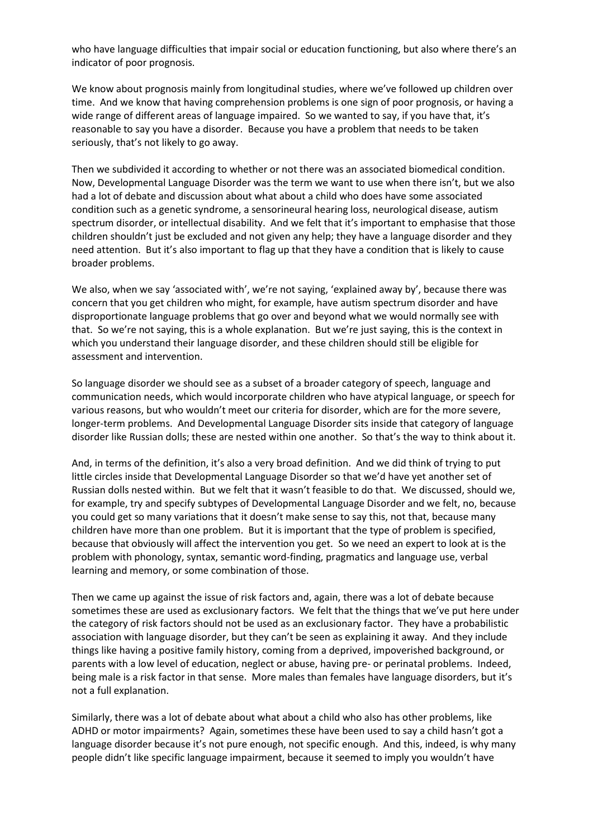who have language difficulties that impair social or education functioning, but also where there's an indicator of poor prognosis.

We know about prognosis mainly from longitudinal studies, where we've followed up children over time. And we know that having comprehension problems is one sign of poor prognosis, or having a wide range of different areas of language impaired. So we wanted to say, if you have that, it's reasonable to say you have a disorder. Because you have a problem that needs to be taken seriously, that's not likely to go away.

Then we subdivided it according to whether or not there was an associated biomedical condition. Now, Developmental Language Disorder was the term we want to use when there isn't, but we also had a lot of debate and discussion about what about a child who does have some associated condition such as a genetic syndrome, a sensorineural hearing loss, neurological disease, autism spectrum disorder, or intellectual disability. And we felt that it's important to emphasise that those children shouldn't just be excluded and not given any help; they have a language disorder and they need attention. But it's also important to flag up that they have a condition that is likely to cause broader problems.

We also, when we say 'associated with', we're not saying, 'explained away by', because there was concern that you get children who might, for example, have autism spectrum disorder and have disproportionate language problems that go over and beyond what we would normally see with that. So we're not saying, this is a whole explanation. But we're just saying, this is the context in which you understand their language disorder, and these children should still be eligible for assessment and intervention.

So language disorder we should see as a subset of a broader category of speech, language and communication needs, which would incorporate children who have atypical language, or speech for various reasons, but who wouldn't meet our criteria for disorder, which are for the more severe, longer-term problems. And Developmental Language Disorder sits inside that category of language disorder like Russian dolls; these are nested within one another. So that's the way to think about it.

And, in terms of the definition, it's also a very broad definition. And we did think of trying to put little circles inside that Developmental Language Disorder so that we'd have yet another set of Russian dolls nested within. But we felt that it wasn't feasible to do that. We discussed, should we, for example, try and specify subtypes of Developmental Language Disorder and we felt, no, because you could get so many variations that it doesn't make sense to say this, not that, because many children have more than one problem. But it is important that the type of problem is specified, because that obviously will affect the intervention you get. So we need an expert to look at is the problem with phonology, syntax, semantic word-finding, pragmatics and language use, verbal learning and memory, or some combination of those.

Then we came up against the issue of risk factors and, again, there was a lot of debate because sometimes these are used as exclusionary factors. We felt that the things that we've put here under the category of risk factors should not be used as an exclusionary factor. They have a probabilistic association with language disorder, but they can't be seen as explaining it away. And they include things like having a positive family history, coming from a deprived, impoverished background, or parents with a low level of education, neglect or abuse, having pre- or perinatal problems. Indeed, being male is a risk factor in that sense. More males than females have language disorders, but it's not a full explanation.

Similarly, there was a lot of debate about what about a child who also has other problems, like ADHD or motor impairments? Again, sometimes these have been used to say a child hasn't got a language disorder because it's not pure enough, not specific enough. And this, indeed, is why many people didn't like specific language impairment, because it seemed to imply you wouldn't have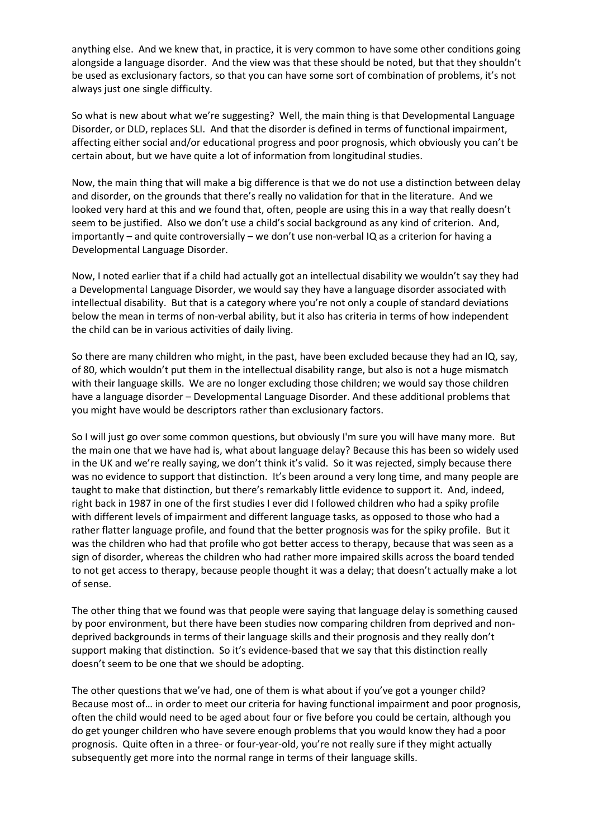anything else. And we knew that, in practice, it is very common to have some other conditions going alongside a language disorder. And the view was that these should be noted, but that they shouldn't be used as exclusionary factors, so that you can have some sort of combination of problems, it's not always just one single difficulty.

So what is new about what we're suggesting? Well, the main thing is that Developmental Language Disorder, or DLD, replaces SLI. And that the disorder is defined in terms of functional impairment, affecting either social and/or educational progress and poor prognosis, which obviously you can't be certain about, but we have quite a lot of information from longitudinal studies.

Now, the main thing that will make a big difference is that we do not use a distinction between delay and disorder, on the grounds that there's really no validation for that in the literature. And we looked very hard at this and we found that, often, people are using this in a way that really doesn't seem to be justified. Also we don't use a child's social background as any kind of criterion. And, importantly – and quite controversially – we don't use non-verbal IQ as a criterion for having a Developmental Language Disorder.

Now, I noted earlier that if a child had actually got an intellectual disability we wouldn't say they had a Developmental Language Disorder, we would say they have a language disorder associated with intellectual disability. But that is a category where you're not only a couple of standard deviations below the mean in terms of non-verbal ability, but it also has criteria in terms of how independent the child can be in various activities of daily living.

So there are many children who might, in the past, have been excluded because they had an IQ, say, of 80, which wouldn't put them in the intellectual disability range, but also is not a huge mismatch with their language skills. We are no longer excluding those children; we would say those children have a language disorder – Developmental Language Disorder. And these additional problems that you might have would be descriptors rather than exclusionary factors.

So I will just go over some common questions, but obviously I'm sure you will have many more. But the main one that we have had is, what about language delay? Because this has been so widely used in the UK and we're really saying, we don't think it's valid. So it was rejected, simply because there was no evidence to support that distinction. It's been around a very long time, and many people are taught to make that distinction, but there's remarkably little evidence to support it. And, indeed, right back in 1987 in one of the first studies I ever did I followed children who had a spiky profile with different levels of impairment and different language tasks, as opposed to those who had a rather flatter language profile, and found that the better prognosis was for the spiky profile. But it was the children who had that profile who got better access to therapy, because that was seen as a sign of disorder, whereas the children who had rather more impaired skills across the board tended to not get access to therapy, because people thought it was a delay; that doesn't actually make a lot of sense.

The other thing that we found was that people were saying that language delay is something caused by poor environment, but there have been studies now comparing children from deprived and nondeprived backgrounds in terms of their language skills and their prognosis and they really don't support making that distinction. So it's evidence-based that we say that this distinction really doesn't seem to be one that we should be adopting.

The other questions that we've had, one of them is what about if you've got a younger child? Because most of… in order to meet our criteria for having functional impairment and poor prognosis, often the child would need to be aged about four or five before you could be certain, although you do get younger children who have severe enough problems that you would know they had a poor prognosis. Quite often in a three- or four-year-old, you're not really sure if they might actually subsequently get more into the normal range in terms of their language skills.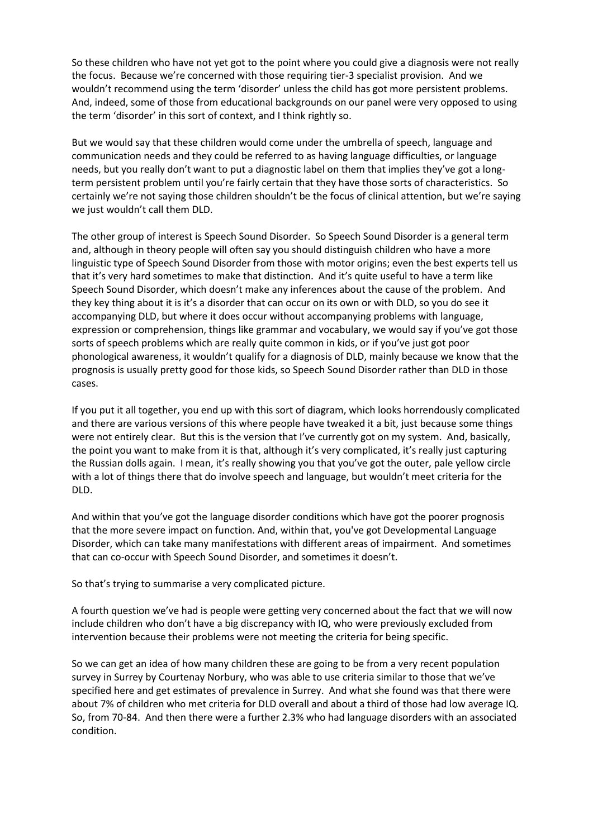So these children who have not yet got to the point where you could give a diagnosis were not really the focus. Because we're concerned with those requiring tier-3 specialist provision. And we wouldn't recommend using the term 'disorder' unless the child has got more persistent problems. And, indeed, some of those from educational backgrounds on our panel were very opposed to using the term 'disorder' in this sort of context, and I think rightly so.

But we would say that these children would come under the umbrella of speech, language and communication needs and they could be referred to as having language difficulties, or language needs, but you really don't want to put a diagnostic label on them that implies they've got a longterm persistent problem until you're fairly certain that they have those sorts of characteristics. So certainly we're not saying those children shouldn't be the focus of clinical attention, but we're saying we just wouldn't call them DLD.

The other group of interest is Speech Sound Disorder. So Speech Sound Disorder is a general term and, although in theory people will often say you should distinguish children who have a more linguistic type of Speech Sound Disorder from those with motor origins; even the best experts tell us that it's very hard sometimes to make that distinction. And it's quite useful to have a term like Speech Sound Disorder, which doesn't make any inferences about the cause of the problem. And they key thing about it is it's a disorder that can occur on its own or with DLD, so you do see it accompanying DLD, but where it does occur without accompanying problems with language, expression or comprehension, things like grammar and vocabulary, we would say if you've got those sorts of speech problems which are really quite common in kids, or if you've just got poor phonological awareness, it wouldn't qualify for a diagnosis of DLD, mainly because we know that the prognosis is usually pretty good for those kids, so Speech Sound Disorder rather than DLD in those cases.

If you put it all together, you end up with this sort of diagram, which looks horrendously complicated and there are various versions of this where people have tweaked it a bit, just because some things were not entirely clear. But this is the version that I've currently got on my system. And, basically, the point you want to make from it is that, although it's very complicated, it's really just capturing the Russian dolls again. I mean, it's really showing you that you've got the outer, pale yellow circle with a lot of things there that do involve speech and language, but wouldn't meet criteria for the DLD.

And within that you've got the language disorder conditions which have got the poorer prognosis that the more severe impact on function. And, within that, you've got Developmental Language Disorder, which can take many manifestations with different areas of impairment. And sometimes that can co-occur with Speech Sound Disorder, and sometimes it doesn't.

So that's trying to summarise a very complicated picture.

A fourth question we've had is people were getting very concerned about the fact that we will now include children who don't have a big discrepancy with IQ, who were previously excluded from intervention because their problems were not meeting the criteria for being specific.

So we can get an idea of how many children these are going to be from a very recent population survey in Surrey by Courtenay Norbury, who was able to use criteria similar to those that we've specified here and get estimates of prevalence in Surrey. And what she found was that there were about 7% of children who met criteria for DLD overall and about a third of those had low average IQ. So, from 70-84. And then there were a further 2.3% who had language disorders with an associated condition.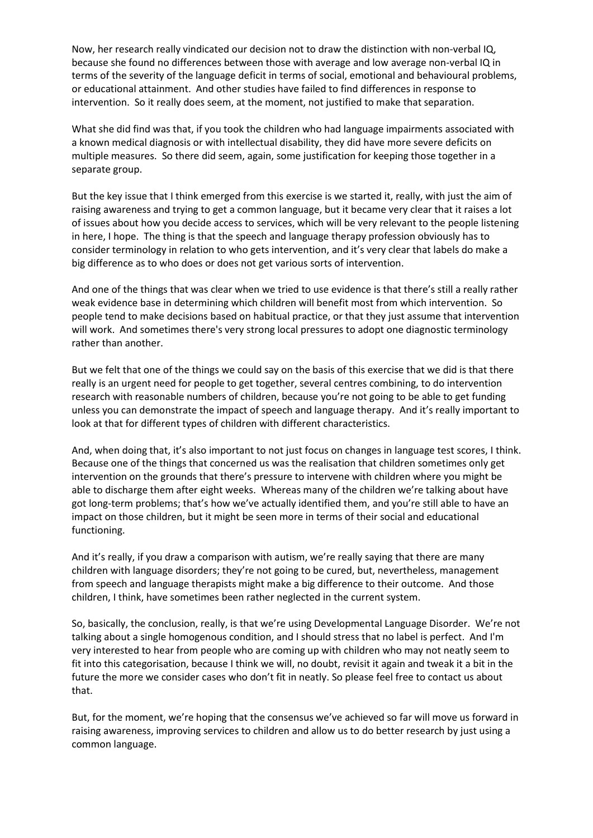Now, her research really vindicated our decision not to draw the distinction with non-verbal IQ, because she found no differences between those with average and low average non-verbal IQ in terms of the severity of the language deficit in terms of social, emotional and behavioural problems, or educational attainment. And other studies have failed to find differences in response to intervention. So it really does seem, at the moment, not justified to make that separation.

What she did find was that, if you took the children who had language impairments associated with a known medical diagnosis or with intellectual disability, they did have more severe deficits on multiple measures. So there did seem, again, some justification for keeping those together in a separate group.

But the key issue that I think emerged from this exercise is we started it, really, with just the aim of raising awareness and trying to get a common language, but it became very clear that it raises a lot of issues about how you decide access to services, which will be very relevant to the people listening in here, I hope. The thing is that the speech and language therapy profession obviously has to consider terminology in relation to who gets intervention, and it's very clear that labels do make a big difference as to who does or does not get various sorts of intervention.

And one of the things that was clear when we tried to use evidence is that there's still a really rather weak evidence base in determining which children will benefit most from which intervention. So people tend to make decisions based on habitual practice, or that they just assume that intervention will work. And sometimes there's very strong local pressures to adopt one diagnostic terminology rather than another.

But we felt that one of the things we could say on the basis of this exercise that we did is that there really is an urgent need for people to get together, several centres combining, to do intervention research with reasonable numbers of children, because you're not going to be able to get funding unless you can demonstrate the impact of speech and language therapy. And it's really important to look at that for different types of children with different characteristics.

And, when doing that, it's also important to not just focus on changes in language test scores, I think. Because one of the things that concerned us was the realisation that children sometimes only get intervention on the grounds that there's pressure to intervene with children where you might be able to discharge them after eight weeks. Whereas many of the children we're talking about have got long-term problems; that's how we've actually identified them, and you're still able to have an impact on those children, but it might be seen more in terms of their social and educational functioning.

And it's really, if you draw a comparison with autism, we're really saying that there are many children with language disorders; they're not going to be cured, but, nevertheless, management from speech and language therapists might make a big difference to their outcome. And those children, I think, have sometimes been rather neglected in the current system.

So, basically, the conclusion, really, is that we're using Developmental Language Disorder. We're not talking about a single homogenous condition, and I should stress that no label is perfect. And I'm very interested to hear from people who are coming up with children who may not neatly seem to fit into this categorisation, because I think we will, no doubt, revisit it again and tweak it a bit in the future the more we consider cases who don't fit in neatly. So please feel free to contact us about that.

But, for the moment, we're hoping that the consensus we've achieved so far will move us forward in raising awareness, improving services to children and allow us to do better research by just using a common language.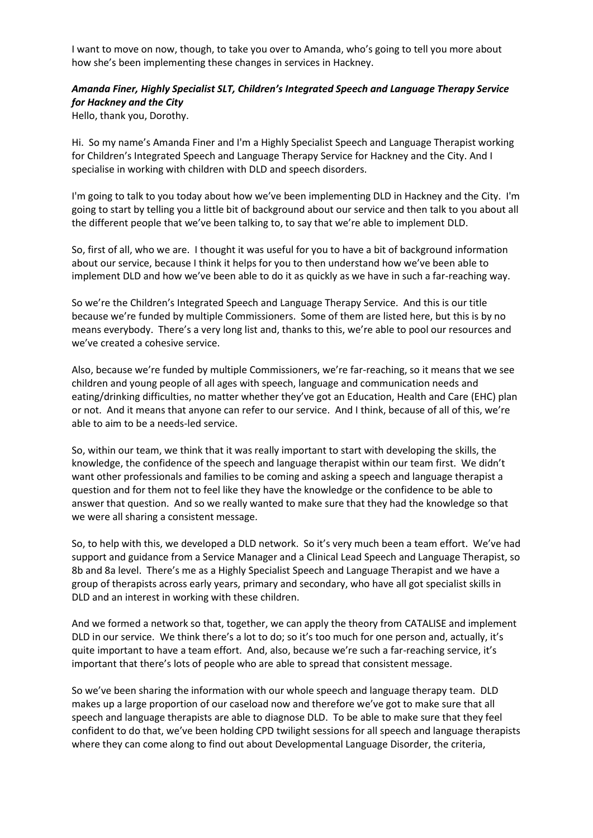I want to move on now, though, to take you over to Amanda, who's going to tell you more about how she's been implementing these changes in services in Hackney.

# *Amanda Finer, Highly Specialist SLT, Children's Integrated Speech and Language Therapy Service for Hackney and the City*

Hello, thank you, Dorothy.

Hi. So my name's Amanda Finer and I'm a Highly Specialist Speech and Language Therapist working for Children's Integrated Speech and Language Therapy Service for Hackney and the City. And I specialise in working with children with DLD and speech disorders.

I'm going to talk to you today about how we've been implementing DLD in Hackney and the City. I'm going to start by telling you a little bit of background about our service and then talk to you about all the different people that we've been talking to, to say that we're able to implement DLD.

So, first of all, who we are. I thought it was useful for you to have a bit of background information about our service, because I think it helps for you to then understand how we've been able to implement DLD and how we've been able to do it as quickly as we have in such a far-reaching way.

So we're the Children's Integrated Speech and Language Therapy Service. And this is our title because we're funded by multiple Commissioners. Some of them are listed here, but this is by no means everybody. There's a very long list and, thanks to this, we're able to pool our resources and we've created a cohesive service.

Also, because we're funded by multiple Commissioners, we're far-reaching, so it means that we see children and young people of all ages with speech, language and communication needs and eating/drinking difficulties, no matter whether they've got an Education, Health and Care (EHC) plan or not. And it means that anyone can refer to our service. And I think, because of all of this, we're able to aim to be a needs-led service.

So, within our team, we think that it was really important to start with developing the skills, the knowledge, the confidence of the speech and language therapist within our team first. We didn't want other professionals and families to be coming and asking a speech and language therapist a question and for them not to feel like they have the knowledge or the confidence to be able to answer that question. And so we really wanted to make sure that they had the knowledge so that we were all sharing a consistent message.

So, to help with this, we developed a DLD network. So it's very much been a team effort. We've had support and guidance from a Service Manager and a Clinical Lead Speech and Language Therapist, so 8b and 8a level. There's me as a Highly Specialist Speech and Language Therapist and we have a group of therapists across early years, primary and secondary, who have all got specialist skills in DLD and an interest in working with these children.

And we formed a network so that, together, we can apply the theory from CATALISE and implement DLD in our service. We think there's a lot to do; so it's too much for one person and, actually, it's quite important to have a team effort. And, also, because we're such a far-reaching service, it's important that there's lots of people who are able to spread that consistent message.

So we've been sharing the information with our whole speech and language therapy team. DLD makes up a large proportion of our caseload now and therefore we've got to make sure that all speech and language therapists are able to diagnose DLD. To be able to make sure that they feel confident to do that, we've been holding CPD twilight sessions for all speech and language therapists where they can come along to find out about Developmental Language Disorder, the criteria,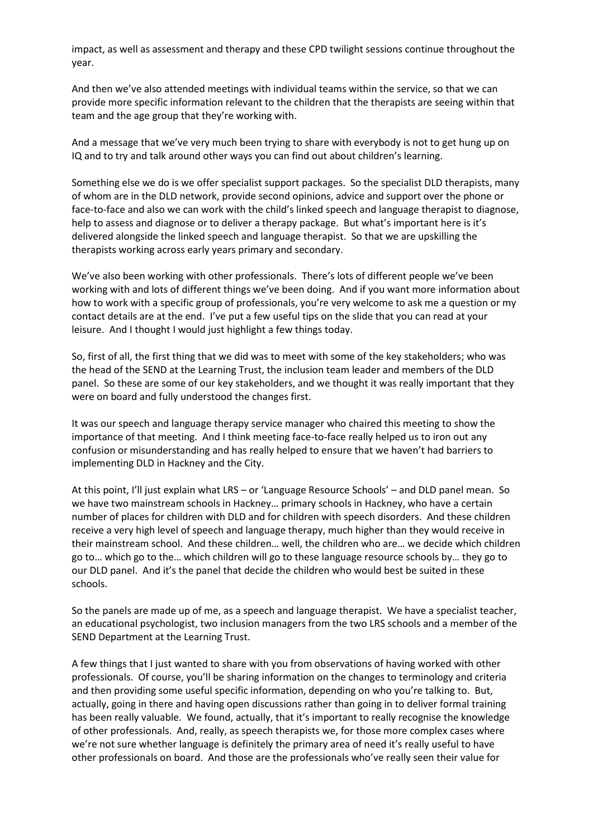impact, as well as assessment and therapy and these CPD twilight sessions continue throughout the year.

And then we've also attended meetings with individual teams within the service, so that we can provide more specific information relevant to the children that the therapists are seeing within that team and the age group that they're working with.

And a message that we've very much been trying to share with everybody is not to get hung up on IQ and to try and talk around other ways you can find out about children's learning.

Something else we do is we offer specialist support packages. So the specialist DLD therapists, many of whom are in the DLD network, provide second opinions, advice and support over the phone or face-to-face and also we can work with the child's linked speech and language therapist to diagnose, help to assess and diagnose or to deliver a therapy package. But what's important here is it's delivered alongside the linked speech and language therapist. So that we are upskilling the therapists working across early years primary and secondary.

We've also been working with other professionals. There's lots of different people we've been working with and lots of different things we've been doing. And if you want more information about how to work with a specific group of professionals, you're very welcome to ask me a question or my contact details are at the end. I've put a few useful tips on the slide that you can read at your leisure. And I thought I would just highlight a few things today.

So, first of all, the first thing that we did was to meet with some of the key stakeholders; who was the head of the SEND at the Learning Trust, the inclusion team leader and members of the DLD panel. So these are some of our key stakeholders, and we thought it was really important that they were on board and fully understood the changes first.

It was our speech and language therapy service manager who chaired this meeting to show the importance of that meeting. And I think meeting face-to-face really helped us to iron out any confusion or misunderstanding and has really helped to ensure that we haven't had barriers to implementing DLD in Hackney and the City.

At this point, I'll just explain what LRS – or 'Language Resource Schools' – and DLD panel mean. So we have two mainstream schools in Hackney… primary schools in Hackney, who have a certain number of places for children with DLD and for children with speech disorders. And these children receive a very high level of speech and language therapy, much higher than they would receive in their mainstream school. And these children… well, the children who are… we decide which children go to… which go to the… which children will go to these language resource schools by… they go to our DLD panel. And it's the panel that decide the children who would best be suited in these schools.

So the panels are made up of me, as a speech and language therapist. We have a specialist teacher, an educational psychologist, two inclusion managers from the two LRS schools and a member of the SEND Department at the Learning Trust.

A few things that I just wanted to share with you from observations of having worked with other professionals. Of course, you'll be sharing information on the changes to terminology and criteria and then providing some useful specific information, depending on who you're talking to. But, actually, going in there and having open discussions rather than going in to deliver formal training has been really valuable. We found, actually, that it's important to really recognise the knowledge of other professionals. And, really, as speech therapists we, for those more complex cases where we're not sure whether language is definitely the primary area of need it's really useful to have other professionals on board. And those are the professionals who've really seen their value for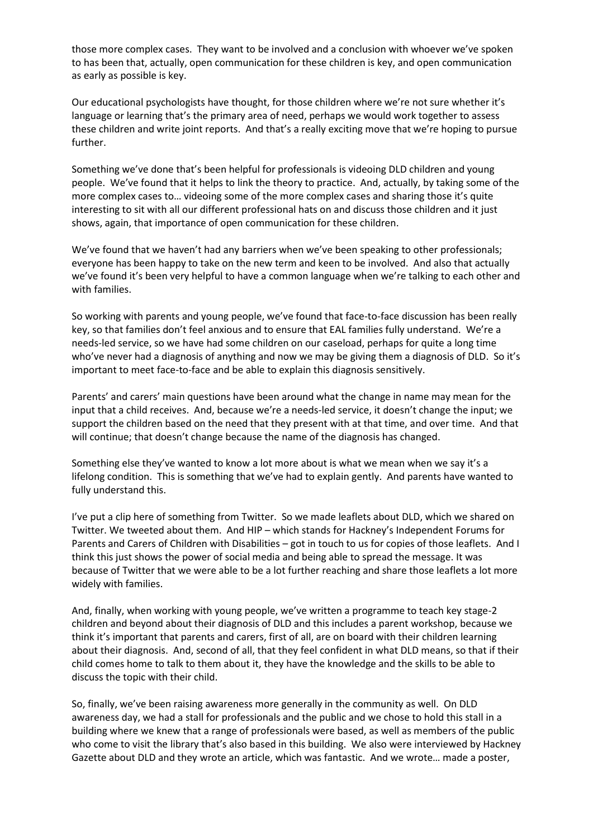those more complex cases. They want to be involved and a conclusion with whoever we've spoken to has been that, actually, open communication for these children is key, and open communication as early as possible is key.

Our educational psychologists have thought, for those children where we're not sure whether it's language or learning that's the primary area of need, perhaps we would work together to assess these children and write joint reports. And that's a really exciting move that we're hoping to pursue further.

Something we've done that's been helpful for professionals is videoing DLD children and young people. We've found that it helps to link the theory to practice. And, actually, by taking some of the more complex cases to… videoing some of the more complex cases and sharing those it's quite interesting to sit with all our different professional hats on and discuss those children and it just shows, again, that importance of open communication for these children.

We've found that we haven't had any barriers when we've been speaking to other professionals; everyone has been happy to take on the new term and keen to be involved. And also that actually we've found it's been very helpful to have a common language when we're talking to each other and with families.

So working with parents and young people, we've found that face-to-face discussion has been really key, so that families don't feel anxious and to ensure that EAL families fully understand. We're a needs-led service, so we have had some children on our caseload, perhaps for quite a long time who've never had a diagnosis of anything and now we may be giving them a diagnosis of DLD. So it's important to meet face-to-face and be able to explain this diagnosis sensitively.

Parents' and carers' main questions have been around what the change in name may mean for the input that a child receives. And, because we're a needs-led service, it doesn't change the input; we support the children based on the need that they present with at that time, and over time. And that will continue; that doesn't change because the name of the diagnosis has changed.

Something else they've wanted to know a lot more about is what we mean when we say it's a lifelong condition. This is something that we've had to explain gently. And parents have wanted to fully understand this.

I've put a clip here of something from Twitter. So we made leaflets about DLD, which we shared on Twitter. We tweeted about them. And HIP – which stands for Hackney's Independent Forums for Parents and Carers of Children with Disabilities – got in touch to us for copies of those leaflets. And I think this just shows the power of social media and being able to spread the message. It was because of Twitter that we were able to be a lot further reaching and share those leaflets a lot more widely with families.

And, finally, when working with young people, we've written a programme to teach key stage-2 children and beyond about their diagnosis of DLD and this includes a parent workshop, because we think it's important that parents and carers, first of all, are on board with their children learning about their diagnosis. And, second of all, that they feel confident in what DLD means, so that if their child comes home to talk to them about it, they have the knowledge and the skills to be able to discuss the topic with their child.

So, finally, we've been raising awareness more generally in the community as well. On DLD awareness day, we had a stall for professionals and the public and we chose to hold this stall in a building where we knew that a range of professionals were based, as well as members of the public who come to visit the library that's also based in this building. We also were interviewed by Hackney Gazette about DLD and they wrote an article, which was fantastic. And we wrote… made a poster,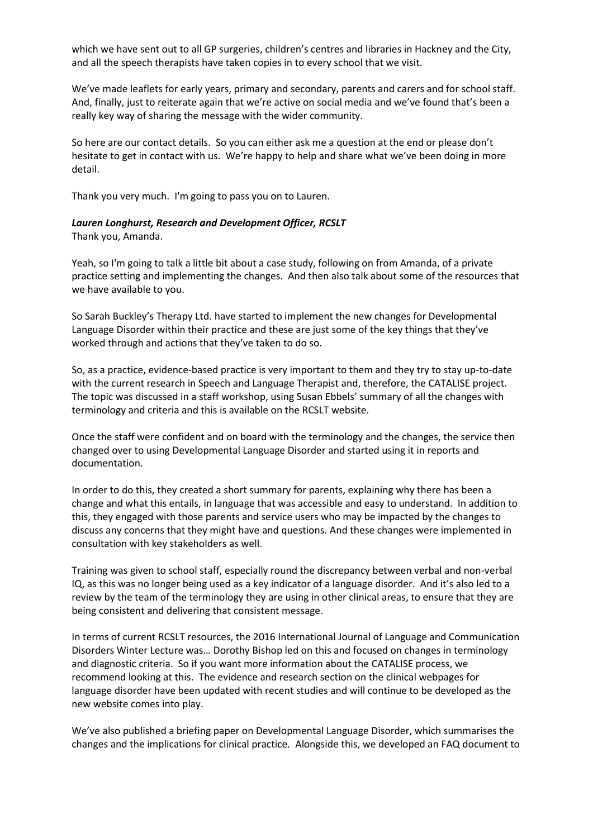which we have sent out to all GP surgeries, children's centres and libraries in Hackney and the City, and all the speech therapists have taken copies in to every school that we visit.

We've made leaflets for early years, primary and secondary, parents and carers and for school staff. And, finally, just to reiterate again that we're active on social media and we've found that's been a really key way of sharing the message with the wider community.

So here are our contact details. So you can either ask me a question at the end or please don't hesitate to get in contact with us. We're happy to help and share what we've been doing in more detail.

Thank you very much. I'm going to pass you on to Lauren.

#### *Lauren Longhurst, Research and Development Officer, RCSLT*

Thank you, Amanda.

Yeah, so I'm going to talk a little bit about a case study, following on from Amanda, of a private practice setting and implementing the changes. And then also talk about some of the resources that we have available to you.

So Sarah Buckley's Therapy Ltd. have started to implement the new changes for Developmental Language Disorder within their practice and these are just some of the key things that they've worked through and actions that they've taken to do so.

So, as a practice, evidence-based practice is very important to them and they try to stay up-to-date with the current research in Speech and Language Therapist and, therefore, the CATALISE project. The topic was discussed in a staff workshop, using Susan Ebbels' summary of all the changes with terminology and criteria and this is available on the RCSLT website.

Once the staff were confident and on board with the terminology and the changes, the service then changed over to using Developmental Language Disorder and started using it in reports and documentation.

In order to do this, they created a short summary for parents, explaining why there has been a change and what this entails, in language that was accessible and easy to understand. In addition to this, they engaged with those parents and service users who may be impacted by the changes to discuss any concerns that they might have and questions. And these changes were implemented in consultation with key stakeholders as well.

Training was given to school staff, especially round the discrepancy between verbal and non-verbal IQ, as this was no longer being used as a key indicator of a language disorder. And it's also led to a review by the team of the terminology they are using in other clinical areas, to ensure that they are being consistent and delivering that consistent message.

In terms of current RCSLT resources, the 2016 International Journal of Language and Communication Disorders Winter Lecture was… Dorothy Bishop led on this and focused on changes in terminology and diagnostic criteria. So if you want more information about the CATALISE process, we recommend looking at this. The evidence and research section on the clinical webpages for language disorder have been updated with recent studies and will continue to be developed as the new website comes into play.

We've also published a briefing paper on Developmental Language Disorder, which summarises the changes and the implications for clinical practice. Alongside this, we developed an FAQ document to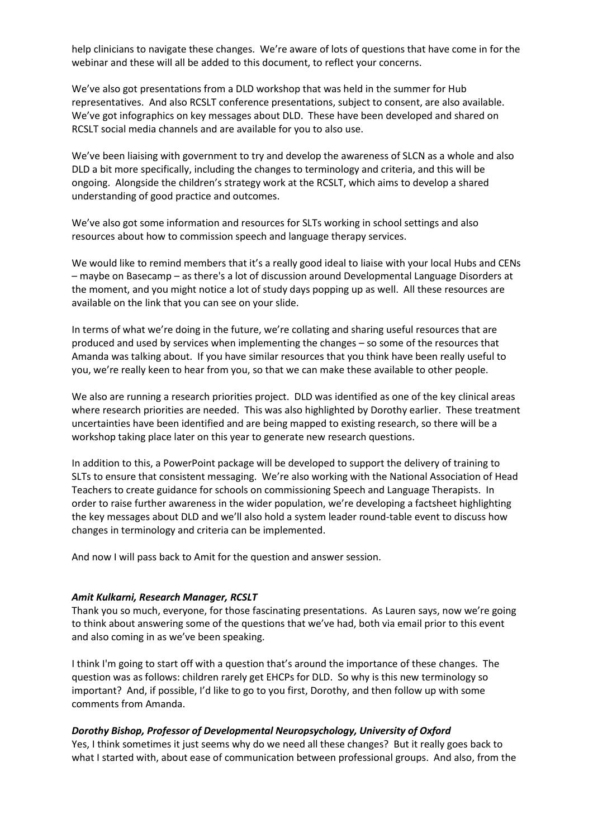help clinicians to navigate these changes. We're aware of lots of questions that have come in for the webinar and these will all be added to this document, to reflect your concerns.

We've also got presentations from a DLD workshop that was held in the summer for Hub representatives. And also RCSLT conference presentations, subject to consent, are also available. We've got infographics on key messages about DLD. These have been developed and shared on RCSLT social media channels and are available for you to also use.

We've been liaising with government to try and develop the awareness of SLCN as a whole and also DLD a bit more specifically, including the changes to terminology and criteria, and this will be ongoing. Alongside the children's strategy work at the RCSLT, which aims to develop a shared understanding of good practice and outcomes.

We've also got some information and resources for SLTs working in school settings and also resources about how to commission speech and language therapy services.

We would like to remind members that it's a really good ideal to liaise with your local Hubs and CENs – maybe on Basecamp – as there's a lot of discussion around Developmental Language Disorders at the moment, and you might notice a lot of study days popping up as well. All these resources are available on the link that you can see on your slide.

In terms of what we're doing in the future, we're collating and sharing useful resources that are produced and used by services when implementing the changes – so some of the resources that Amanda was talking about. If you have similar resources that you think have been really useful to you, we're really keen to hear from you, so that we can make these available to other people.

We also are running a research priorities project. DLD was identified as one of the key clinical areas where research priorities are needed. This was also highlighted by Dorothy earlier. These treatment uncertainties have been identified and are being mapped to existing research, so there will be a workshop taking place later on this year to generate new research questions.

In addition to this, a PowerPoint package will be developed to support the delivery of training to SLTs to ensure that consistent messaging. We're also working with the National Association of Head Teachers to create guidance for schools on commissioning Speech and Language Therapists. In order to raise further awareness in the wider population, we're developing a factsheet highlighting the key messages about DLD and we'll also hold a system leader round-table event to discuss how changes in terminology and criteria can be implemented.

And now I will pass back to Amit for the question and answer session.

### *Amit Kulkarni, Research Manager, RCSLT*

Thank you so much, everyone, for those fascinating presentations. As Lauren says, now we're going to think about answering some of the questions that we've had, both via email prior to this event and also coming in as we've been speaking.

I think I'm going to start off with a question that's around the importance of these changes. The question was as follows: children rarely get EHCPs for DLD. So why is this new terminology so important? And, if possible, I'd like to go to you first, Dorothy, and then follow up with some comments from Amanda.

### *Dorothy Bishop, Professor of Developmental Neuropsychology, University of Oxford*

Yes, I think sometimes it just seems why do we need all these changes? But it really goes back to what I started with, about ease of communication between professional groups. And also, from the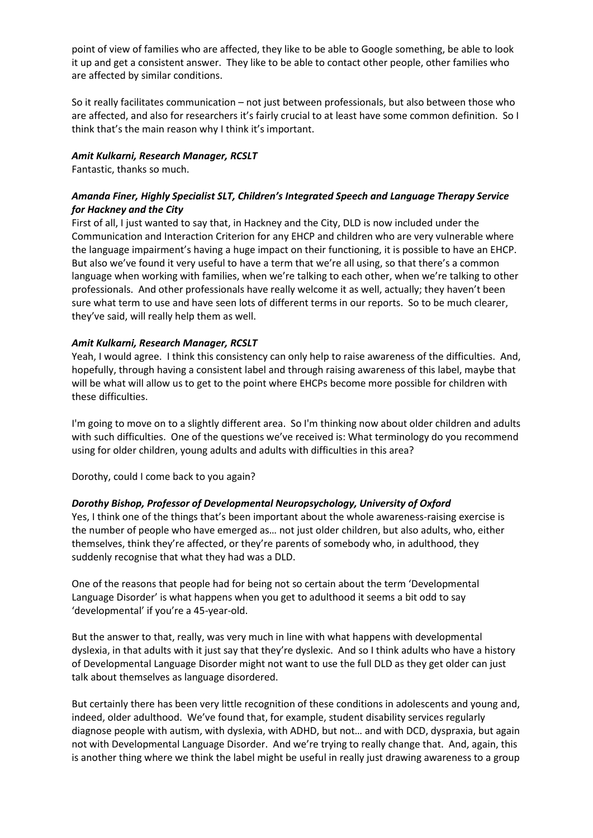point of view of families who are affected, they like to be able to Google something, be able to look it up and get a consistent answer. They like to be able to contact other people, other families who are affected by similar conditions.

So it really facilitates communication – not just between professionals, but also between those who are affected, and also for researchers it's fairly crucial to at least have some common definition. So I think that's the main reason why I think it's important.

### *Amit Kulkarni, Research Manager, RCSLT*

Fantastic, thanks so much.

# *Amanda Finer, Highly Specialist SLT, Children's Integrated Speech and Language Therapy Service for Hackney and the City*

First of all, I just wanted to say that, in Hackney and the City, DLD is now included under the Communication and Interaction Criterion for any EHCP and children who are very vulnerable where the language impairment's having a huge impact on their functioning, it is possible to have an EHCP. But also we've found it very useful to have a term that we're all using, so that there's a common language when working with families, when we're talking to each other, when we're talking to other professionals. And other professionals have really welcome it as well, actually; they haven't been sure what term to use and have seen lots of different terms in our reports. So to be much clearer, they've said, will really help them as well.

## *Amit Kulkarni, Research Manager, RCSLT*

Yeah, I would agree. I think this consistency can only help to raise awareness of the difficulties. And, hopefully, through having a consistent label and through raising awareness of this label, maybe that will be what will allow us to get to the point where EHCPs become more possible for children with these difficulties.

I'm going to move on to a slightly different area. So I'm thinking now about older children and adults with such difficulties. One of the questions we've received is: What terminology do you recommend using for older children, young adults and adults with difficulties in this area?

Dorothy, could I come back to you again?

# *Dorothy Bishop, Professor of Developmental Neuropsychology, University of Oxford*

Yes, I think one of the things that's been important about the whole awareness-raising exercise is the number of people who have emerged as… not just older children, but also adults, who, either themselves, think they're affected, or they're parents of somebody who, in adulthood, they suddenly recognise that what they had was a DLD.

One of the reasons that people had for being not so certain about the term 'Developmental Language Disorder' is what happens when you get to adulthood it seems a bit odd to say 'developmental' if you're a 45-year-old.

But the answer to that, really, was very much in line with what happens with developmental dyslexia, in that adults with it just say that they're dyslexic. And so I think adults who have a history of Developmental Language Disorder might not want to use the full DLD as they get older can just talk about themselves as language disordered.

But certainly there has been very little recognition of these conditions in adolescents and young and, indeed, older adulthood. We've found that, for example, student disability services regularly diagnose people with autism, with dyslexia, with ADHD, but not… and with DCD, dyspraxia, but again not with Developmental Language Disorder. And we're trying to really change that. And, again, this is another thing where we think the label might be useful in really just drawing awareness to a group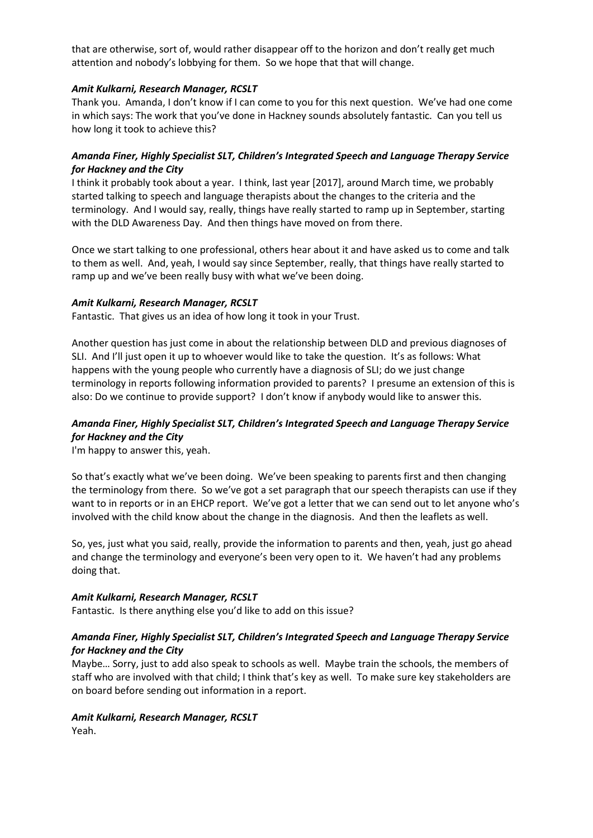that are otherwise, sort of, would rather disappear off to the horizon and don't really get much attention and nobody's lobbying for them. So we hope that that will change.

## *Amit Kulkarni, Research Manager, RCSLT*

Thank you. Amanda, I don't know if I can come to you for this next question. We've had one come in which says: The work that you've done in Hackney sounds absolutely fantastic. Can you tell us how long it took to achieve this?

# *Amanda Finer, Highly Specialist SLT, Children's Integrated Speech and Language Therapy Service for Hackney and the City*

I think it probably took about a year. I think, last year [2017], around March time, we probably started talking to speech and language therapists about the changes to the criteria and the terminology. And I would say, really, things have really started to ramp up in September, starting with the DLD Awareness Day. And then things have moved on from there.

Once we start talking to one professional, others hear about it and have asked us to come and talk to them as well. And, yeah, I would say since September, really, that things have really started to ramp up and we've been really busy with what we've been doing.

### *Amit Kulkarni, Research Manager, RCSLT*

Fantastic. That gives us an idea of how long it took in your Trust.

Another question has just come in about the relationship between DLD and previous diagnoses of SLI. And I'll just open it up to whoever would like to take the question. It's as follows: What happens with the young people who currently have a diagnosis of SLI; do we just change terminology in reports following information provided to parents? I presume an extension of this is also: Do we continue to provide support? I don't know if anybody would like to answer this.

# *Amanda Finer, Highly Specialist SLT, Children's Integrated Speech and Language Therapy Service for Hackney and the City*

I'm happy to answer this, yeah.

So that's exactly what we've been doing. We've been speaking to parents first and then changing the terminology from there. So we've got a set paragraph that our speech therapists can use if they want to in reports or in an EHCP report. We've got a letter that we can send out to let anyone who's involved with the child know about the change in the diagnosis. And then the leaflets as well.

So, yes, just what you said, really, provide the information to parents and then, yeah, just go ahead and change the terminology and everyone's been very open to it. We haven't had any problems doing that.

### *Amit Kulkarni, Research Manager, RCSLT*

Fantastic. Is there anything else you'd like to add on this issue?

# *Amanda Finer, Highly Specialist SLT, Children's Integrated Speech and Language Therapy Service for Hackney and the City*

Maybe… Sorry, just to add also speak to schools as well. Maybe train the schools, the members of staff who are involved with that child; I think that's key as well. To make sure key stakeholders are on board before sending out information in a report.

#### *Amit Kulkarni, Research Manager, RCSLT* Yeah.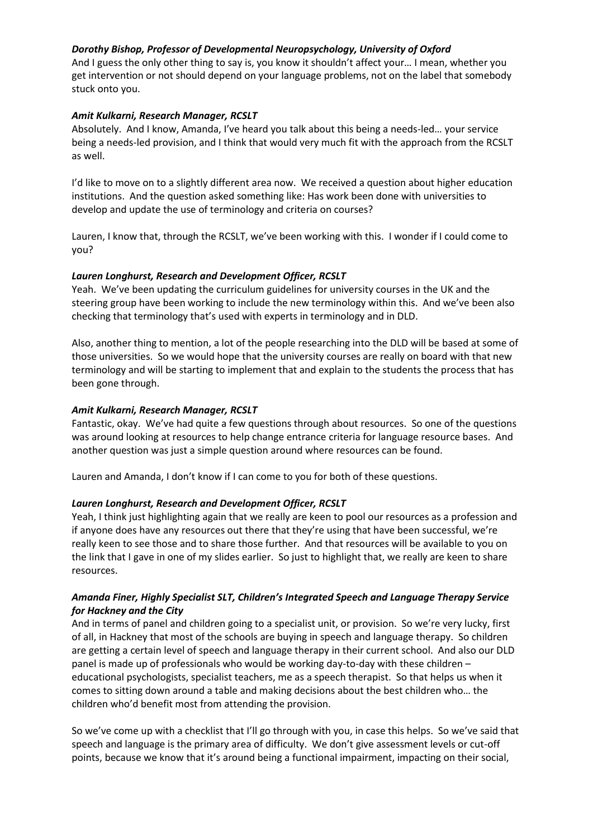# *Dorothy Bishop, Professor of Developmental Neuropsychology, University of Oxford*

And I guess the only other thing to say is, you know it shouldn't affect your… I mean, whether you get intervention or not should depend on your language problems, not on the label that somebody stuck onto you.

### *Amit Kulkarni, Research Manager, RCSLT*

Absolutely. And I know, Amanda, I've heard you talk about this being a needs-led… your service being a needs-led provision, and I think that would very much fit with the approach from the RCSLT as well.

I'd like to move on to a slightly different area now. We received a question about higher education institutions. And the question asked something like: Has work been done with universities to develop and update the use of terminology and criteria on courses?

Lauren, I know that, through the RCSLT, we've been working with this. I wonder if I could come to you?

## *Lauren Longhurst, Research and Development Officer, RCSLT*

Yeah. We've been updating the curriculum guidelines for university courses in the UK and the steering group have been working to include the new terminology within this. And we've been also checking that terminology that's used with experts in terminology and in DLD.

Also, another thing to mention, a lot of the people researching into the DLD will be based at some of those universities. So we would hope that the university courses are really on board with that new terminology and will be starting to implement that and explain to the students the process that has been gone through.

## *Amit Kulkarni, Research Manager, RCSLT*

Fantastic, okay. We've had quite a few questions through about resources. So one of the questions was around looking at resources to help change entrance criteria for language resource bases. And another question was just a simple question around where resources can be found.

Lauren and Amanda, I don't know if I can come to you for both of these questions.

# *Lauren Longhurst, Research and Development Officer, RCSLT*

Yeah, I think just highlighting again that we really are keen to pool our resources as a profession and if anyone does have any resources out there that they're using that have been successful, we're really keen to see those and to share those further. And that resources will be available to you on the link that I gave in one of my slides earlier. So just to highlight that, we really are keen to share resources.

## *Amanda Finer, Highly Specialist SLT, Children's Integrated Speech and Language Therapy Service for Hackney and the City*

And in terms of panel and children going to a specialist unit, or provision. So we're very lucky, first of all, in Hackney that most of the schools are buying in speech and language therapy. So children are getting a certain level of speech and language therapy in their current school. And also our DLD panel is made up of professionals who would be working day-to-day with these children – educational psychologists, specialist teachers, me as a speech therapist. So that helps us when it comes to sitting down around a table and making decisions about the best children who… the children who'd benefit most from attending the provision.

So we've come up with a checklist that I'll go through with you, in case this helps. So we've said that speech and language is the primary area of difficulty. We don't give assessment levels or cut-off points, because we know that it's around being a functional impairment, impacting on their social,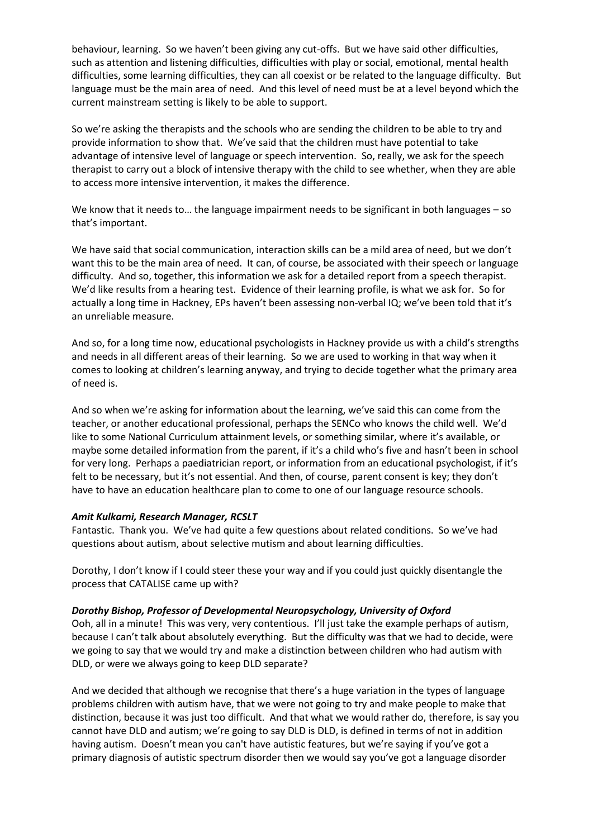behaviour, learning. So we haven't been giving any cut-offs. But we have said other difficulties, such as attention and listening difficulties, difficulties with play or social, emotional, mental health difficulties, some learning difficulties, they can all coexist or be related to the language difficulty. But language must be the main area of need. And this level of need must be at a level beyond which the current mainstream setting is likely to be able to support.

So we're asking the therapists and the schools who are sending the children to be able to try and provide information to show that. We've said that the children must have potential to take advantage of intensive level of language or speech intervention. So, really, we ask for the speech therapist to carry out a block of intensive therapy with the child to see whether, when they are able to access more intensive intervention, it makes the difference.

We know that it needs to... the language impairment needs to be significant in both languages – so that's important.

We have said that social communication, interaction skills can be a mild area of need, but we don't want this to be the main area of need. It can, of course, be associated with their speech or language difficulty. And so, together, this information we ask for a detailed report from a speech therapist. We'd like results from a hearing test. Evidence of their learning profile, is what we ask for. So for actually a long time in Hackney, EPs haven't been assessing non-verbal IQ; we've been told that it's an unreliable measure.

And so, for a long time now, educational psychologists in Hackney provide us with a child's strengths and needs in all different areas of their learning. So we are used to working in that way when it comes to looking at children's learning anyway, and trying to decide together what the primary area of need is.

And so when we're asking for information about the learning, we've said this can come from the teacher, or another educational professional, perhaps the SENCo who knows the child well. We'd like to some National Curriculum attainment levels, or something similar, where it's available, or maybe some detailed information from the parent, if it's a child who's five and hasn't been in school for very long. Perhaps a paediatrician report, or information from an educational psychologist, if it's felt to be necessary, but it's not essential. And then, of course, parent consent is key; they don't have to have an education healthcare plan to come to one of our language resource schools.

### *Amit Kulkarni, Research Manager, RCSLT*

Fantastic. Thank you. We've had quite a few questions about related conditions. So we've had questions about autism, about selective mutism and about learning difficulties.

Dorothy, I don't know if I could steer these your way and if you could just quickly disentangle the process that CATALISE came up with?

### *Dorothy Bishop, Professor of Developmental Neuropsychology, University of Oxford*

Ooh, all in a minute! This was very, very contentious. I'll just take the example perhaps of autism, because I can't talk about absolutely everything. But the difficulty was that we had to decide, were we going to say that we would try and make a distinction between children who had autism with DLD, or were we always going to keep DLD separate?

And we decided that although we recognise that there's a huge variation in the types of language problems children with autism have, that we were not going to try and make people to make that distinction, because it was just too difficult. And that what we would rather do, therefore, is say you cannot have DLD and autism; we're going to say DLD is DLD, is defined in terms of not in addition having autism. Doesn't mean you can't have autistic features, but we're saying if you've got a primary diagnosis of autistic spectrum disorder then we would say you've got a language disorder